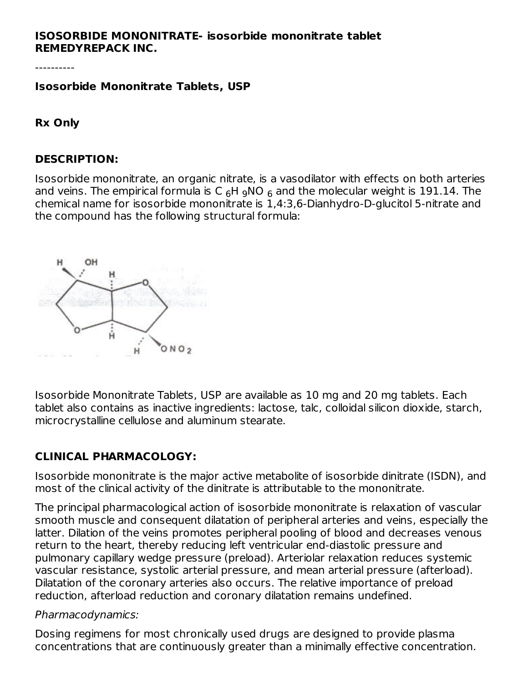### **ISOSORBIDE MONONITRATE- isosorbide mononitrate tablet REMEDYREPACK INC.**

#### **Isosorbide Mononitrate Tablets, USP**

**Rx Only**

#### **DESCRIPTION:**

Isosorbide mononitrate, an organic nitrate, is a vasodilator with effects on both arteries and veins. The empirical formula is C  $_6$ H  $_9$ NO  $_6$  and the molecular weight is 191.14. The chemical name for isosorbide mononitrate is 1,4:3,6-Dianhydro-D-glucitol 5-nitrate and the compound has the following structural formula:



Isosorbide Mononitrate Tablets, USP are available as 10 mg and 20 mg tablets. Each tablet also contains as inactive ingredients: lactose, talc, colloidal silicon dioxide, starch, microcrystalline cellulose and aluminum stearate.

### **CLINICAL PHARMACOLOGY:**

Isosorbide mononitrate is the major active metabolite of isosorbide dinitrate (ISDN), and most of the clinical activity of the dinitrate is attributable to the mononitrate.

The principal pharmacological action of isosorbide mononitrate is relaxation of vascular smooth muscle and consequent dilatation of peripheral arteries and veins, especially the latter. Dilation of the veins promotes peripheral pooling of blood and decreases venous return to the heart, thereby reducing left ventricular end-diastolic pressure and pulmonary capillary wedge pressure (preload). Arteriolar relaxation reduces systemic vascular resistance, systolic arterial pressure, and mean arterial pressure (afterload). Dilatation of the coronary arteries also occurs. The relative importance of preload reduction, afterload reduction and coronary dilatation remains undefined.

#### Pharmacodynamics:

Dosing regimens for most chronically used drugs are designed to provide plasma concentrations that are continuously greater than a minimally effective concentration.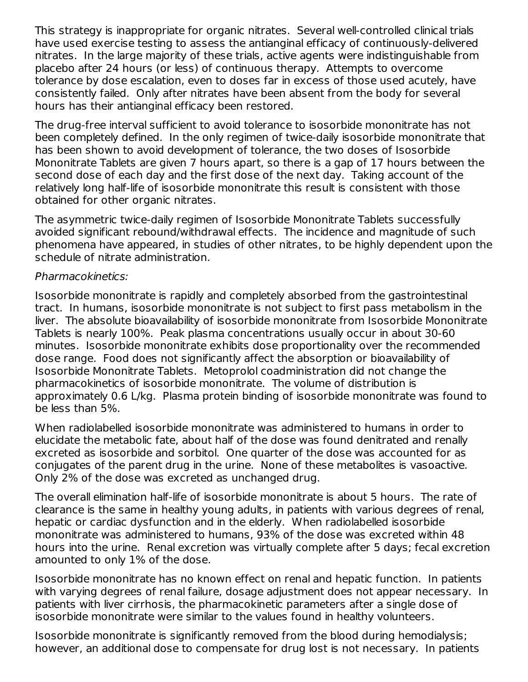This strategy is inappropriate for organic nitrates. Several well-controlled clinical trials have used exercise testing to assess the antianginal efficacy of continuously-delivered nitrates. In the large majority of these trials, active agents were indistinguishable from placebo after 24 hours (or less) of continuous therapy. Attempts to overcome tolerance by dose escalation, even to doses far in excess of those used acutely, have consistently failed. Only after nitrates have been absent from the body for several hours has their antianginal efficacy been restored.

The drug-free interval sufficient to avoid tolerance to isosorbide mononitrate has not been completely defined. In the only regimen of twice-daily isosorbide mononitrate that has been shown to avoid development of tolerance, the two doses of Isosorbide Mononitrate Tablets are given 7 hours apart, so there is a gap of 17 hours between the second dose of each day and the first dose of the next day. Taking account of the relatively long half-life of isosorbide mononitrate this result is consistent with those obtained for other organic nitrates.

The asymmetric twice-daily regimen of Isosorbide Mononitrate Tablets successfully avoided significant rebound/withdrawal effects. The incidence and magnitude of such phenomena have appeared, in studies of other nitrates, to be highly dependent upon the schedule of nitrate administration.

#### Pharmacokinetics:

Isosorbide mononitrate is rapidly and completely absorbed from the gastrointestinal tract. In humans, isosorbide mononitrate is not subject to first pass metabolism in the liver. The absolute bioavailability of isosorbide mononitrate from Isosorbide Mononitrate Tablets is nearly 100%. Peak plasma concentrations usually occur in about 30-60 minutes. Isosorbide mononitrate exhibits dose proportionality over the recommended dose range. Food does not significantly affect the absorption or bioavailability of Isosorbide Mononitrate Tablets. Metoprolol coadministration did not change the pharmacokinetics of isosorbide mononitrate. The volume of distribution is approximately 0.6 L/kg. Plasma protein binding of isosorbide mononitrate was found to be less than 5%.

When radiolabelled isosorbide mononitrate was administered to humans in order to elucidate the metabolic fate, about half of the dose was found denitrated and renally excreted as isosorbide and sorbitol. One quarter of the dose was accounted for as conjugates of the parent drug in the urine. None of these metabolites is vasoactive. Only 2% of the dose was excreted as unchanged drug.

The overall elimination half-life of isosorbide mononitrate is about 5 hours. The rate of clearance is the same in healthy young adults, in patients with various degrees of renal, hepatic or cardiac dysfunction and in the elderly. When radiolabelled isosorbide mononitrate was administered to humans, 93% of the dose was excreted within 48 hours into the urine. Renal excretion was virtually complete after 5 days; fecal excretion amounted to only 1% of the dose.

Isosorbide mononitrate has no known effect on renal and hepatic function. In patients with varying degrees of renal failure, dosage adjustment does not appear necessary. In patients with liver cirrhosis, the pharmacokinetic parameters after a single dose of isosorbide mononitrate were similar to the values found in healthy volunteers.

Isosorbide mononitrate is significantly removed from the blood during hemodialysis; however, an additional dose to compensate for drug lost is not necessary. In patients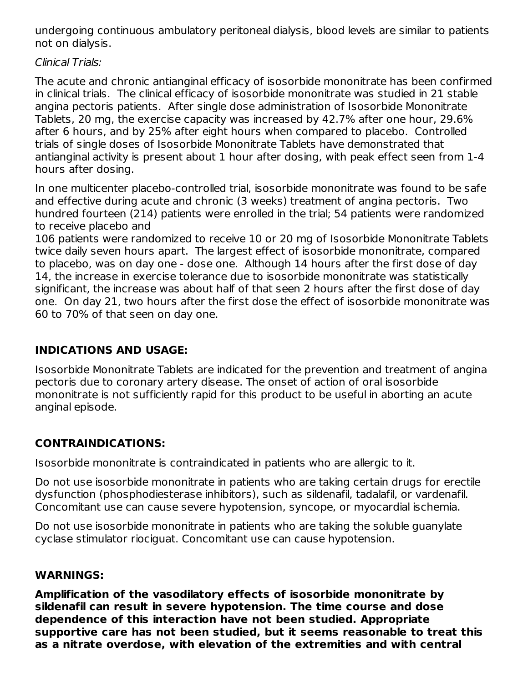undergoing continuous ambulatory peritoneal dialysis, blood levels are similar to patients not on dialysis.

Clinical Trials:

The acute and chronic antianginal efficacy of isosorbide mononitrate has been confirmed in clinical trials. The clinical efficacy of isosorbide mononitrate was studied in 21 stable angina pectoris patients. After single dose administration of Isosorbide Mononitrate Tablets, 20 mg, the exercise capacity was increased by 42.7% after one hour, 29.6% after 6 hours, and by 25% after eight hours when compared to placebo. Controlled trials of single doses of Isosorbide Mononitrate Tablets have demonstrated that antianginal activity is present about 1 hour after dosing, with peak effect seen from 1-4 hours after dosing.

In one multicenter placebo-controlled trial, isosorbide mononitrate was found to be safe and effective during acute and chronic (3 weeks) treatment of angina pectoris. Two hundred fourteen (214) patients were enrolled in the trial; 54 patients were randomized to receive placebo and

106 patients were randomized to receive 10 or 20 mg of Isosorbide Mononitrate Tablets twice daily seven hours apart. The largest effect of isosorbide mononitrate, compared to placebo, was on day one - dose one. Although 14 hours after the first dose of day 14, the increase in exercise tolerance due to isosorbide mononitrate was statistically significant, the increase was about half of that seen 2 hours after the first dose of day one. On day 21, two hours after the first dose the effect of isosorbide mononitrate was 60 to 70% of that seen on day one.

# **INDICATIONS AND USAGE:**

Isosorbide Mononitrate Tablets are indicated for the prevention and treatment of angina pectoris due to coronary artery disease. The onset of action of oral isosorbide mononitrate is not sufficiently rapid for this product to be useful in aborting an acute anginal episode.

# **CONTRAINDICATIONS:**

Isosorbide mononitrate is contraindicated in patients who are allergic to it.

Do not use isosorbide mononitrate in patients who are taking certain drugs for erectile dysfunction (phosphodiesterase inhibitors), such as sildenafil, tadalafil, or vardenafil. Concomitant use can cause severe hypotension, syncope, or myocardial ischemia.

Do not use isosorbide mononitrate in patients who are taking the soluble guanylate cyclase stimulator riociguat. Concomitant use can cause hypotension.

# **WARNINGS:**

**Amplification of the vasodilatory effects of isosorbide mononitrate by sildenafil can result in severe hypotension. The time course and dose dependence of this interaction have not been studied. Appropriate supportive care has not been studied, but it seems reasonable to treat this as a nitrate overdose, with elevation of the extremities and with central**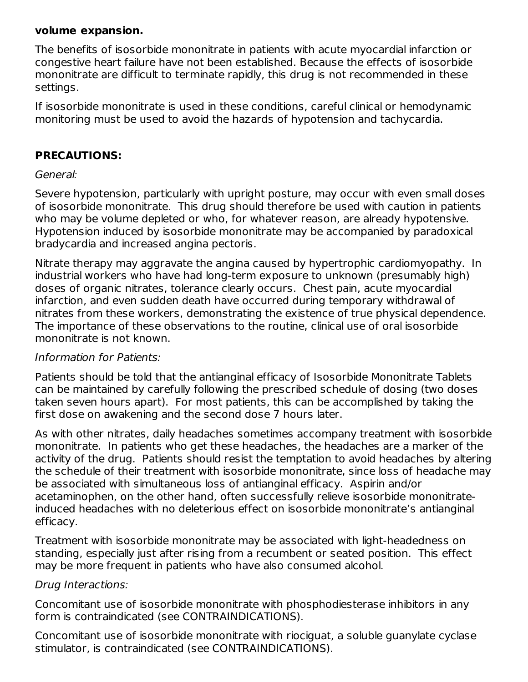### **volume expansion.**

The benefits of isosorbide mononitrate in patients with acute myocardial infarction or congestive heart failure have not been established. Because the effects of isosorbide mononitrate are difficult to terminate rapidly, this drug is not recommended in these settings.

If isosorbide mononitrate is used in these conditions, careful clinical or hemodynamic monitoring must be used to avoid the hazards of hypotension and tachycardia.

### **PRECAUTIONS:**

#### General:

Severe hypotension, particularly with upright posture, may occur with even small doses of isosorbide mononitrate. This drug should therefore be used with caution in patients who may be volume depleted or who, for whatever reason, are already hypotensive. Hypotension induced by isosorbide mononitrate may be accompanied by paradoxical bradycardia and increased angina pectoris.

Nitrate therapy may aggravate the angina caused by hypertrophic cardiomyopathy. In industrial workers who have had long-term exposure to unknown (presumably high) doses of organic nitrates, tolerance clearly occurs. Chest pain, acute myocardial infarction, and even sudden death have occurred during temporary withdrawal of nitrates from these workers, demonstrating the existence of true physical dependence. The importance of these observations to the routine, clinical use of oral isosorbide mononitrate is not known.

### Information for Patients:

Patients should be told that the antianginal efficacy of Isosorbide Mononitrate Tablets can be maintained by carefully following the prescribed schedule of dosing (two doses taken seven hours apart). For most patients, this can be accomplished by taking the first dose on awakening and the second dose 7 hours later.

As with other nitrates, daily headaches sometimes accompany treatment with isosorbide mononitrate. In patients who get these headaches, the headaches are a marker of the activity of the drug. Patients should resist the temptation to avoid headaches by altering the schedule of their treatment with isosorbide mononitrate, since loss of headache may be associated with simultaneous loss of antianginal efficacy. Aspirin and/or acetaminophen, on the other hand, often successfully relieve isosorbide mononitrateinduced headaches with no deleterious effect on isosorbide mononitrate's antianginal efficacy.

Treatment with isosorbide mononitrate may be associated with light-headedness on standing, especially just after rising from a recumbent or seated position. This effect may be more frequent in patients who have also consumed alcohol.

### Drug Interactions:

Concomitant use of isosorbide mononitrate with phosphodiesterase inhibitors in any form is contraindicated (see CONTRAINDICATIONS).

Concomitant use of isosorbide mononitrate with riociguat, a soluble guanylate cyclase stimulator, is contraindicated (see CONTRAINDICATIONS).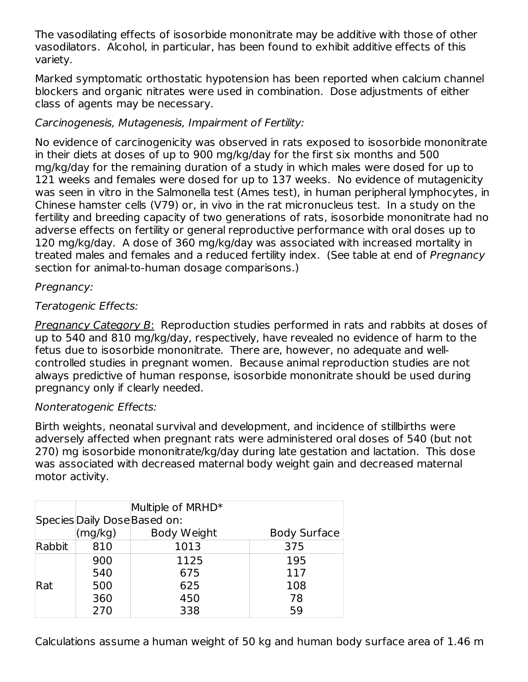The vasodilating effects of isosorbide mononitrate may be additive with those of other vasodilators. Alcohol, in particular, has been found to exhibit additive effects of this variety.

Marked symptomatic orthostatic hypotension has been reported when calcium channel blockers and organic nitrates were used in combination. Dose adjustments of either class of agents may be necessary.

# Carcinogenesis, Mutagenesis, Impairment of Fertility:

No evidence of carcinogenicity was observed in rats exposed to isosorbide mononitrate in their diets at doses of up to 900 mg/kg/day for the first six months and 500 mg/kg/day for the remaining duration of a study in which males were dosed for up to 121 weeks and females were dosed for up to 137 weeks. No evidence of mutagenicity was seen in vitro in the Salmonella test (Ames test), in human peripheral lymphocytes, in Chinese hamster cells (V79) or, in vivo in the rat micronucleus test. In a study on the fertility and breeding capacity of two generations of rats, isosorbide mononitrate had no adverse effects on fertility or general reproductive performance with oral doses up to 120 mg/kg/day. A dose of 360 mg/kg/day was associated with increased mortality in treated males and females and a reduced fertility index. (See table at end of Pregnancy section for animal-to-human dosage comparisons.)

## Pregnancy:

## Teratogenic Effects:

Pregnancy Category B: Reproduction studies performed in rats and rabbits at doses of up to 540 and 810 mg/kg/day, respectively, have revealed no evidence of harm to the fetus due to isosorbide mononitrate. There are, however, no adequate and wellcontrolled studies in pregnant women. Because animal reproduction studies are not always predictive of human response, isosorbide mononitrate should be used during pregnancy only if clearly needed.

### Nonteratogenic Effects:

Birth weights, neonatal survival and development, and incidence of stillbirths were adversely affected when pregnant rats were administered oral doses of 540 (but not 270) mg isosorbide mononitrate/kg/day during late gestation and lactation. This dose was associated with decreased maternal body weight gain and decreased maternal motor activity.

|                              | Multiple of MRHD* |             |                     |  |  |  |
|------------------------------|-------------------|-------------|---------------------|--|--|--|
| Species Daily Dose Based on: |                   |             |                     |  |  |  |
|                              | (mg/kg)           | Body Weight | <b>Body Surface</b> |  |  |  |
| Rabbit                       | 810               | 1013        | 375                 |  |  |  |
|                              | 900               | 1125        | 195                 |  |  |  |
|                              | 540               | 675         | 117                 |  |  |  |
| Rat                          | 500               | 625         | 108                 |  |  |  |
|                              | 360               | 450         | 78                  |  |  |  |
|                              | 270               | 338         | 59                  |  |  |  |

Calculations assume a human weight of 50 kg and human body surface area of 1.46 m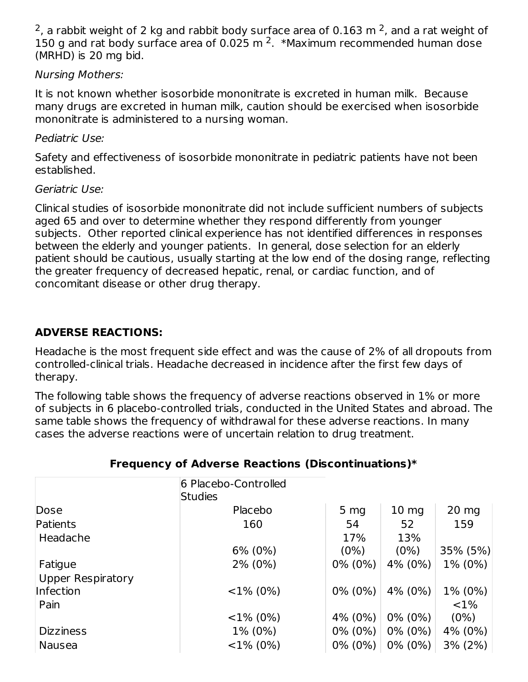<sup>2</sup>, a rabbit weight of 2 kg and rabbit body surface area of 0.163 m <sup>2</sup>, and a rat weight of 150 g and rat body surface area of 0.025 m  $2.$  \*Maximum recommended human dose (MRHD) is 20 mg bid.

## Nursing Mothers:

It is not known whether isosorbide mononitrate is excreted in human milk. Because many drugs are excreted in human milk, caution should be exercised when isosorbide mononitrate is administered to a nursing woman.

### Pediatric Use:

Safety and effectiveness of isosorbide mononitrate in pediatric patients have not been established.

## Geriatric Use:

Clinical studies of isosorbide mononitrate did not include sufficient numbers of subjects aged 65 and over to determine whether they respond differently from younger subjects. Other reported clinical experience has not identified differences in responses between the elderly and younger patients. In general, dose selection for an elderly patient should be cautious, usually starting at the low end of the dosing range, reflecting the greater frequency of decreased hepatic, renal, or cardiac function, and of concomitant disease or other drug therapy.

# **ADVERSE REACTIONS:**

Headache is the most frequent side effect and was the cause of 2% of all dropouts from controlled-clinical trials. Headache decreased in incidence after the first few days of therapy.

The following table shows the frequency of adverse reactions observed in 1% or more of subjects in 6 placebo-controlled trials, conducted in the United States and abroad. The same table shows the frequency of withdrawal for these adverse reactions. In many cases the adverse reactions were of uncertain relation to drug treatment.

|                          | 6 Placebo-Controlled<br>Studies |                 |                  |                 |
|--------------------------|---------------------------------|-----------------|------------------|-----------------|
| Dose                     | Placebo                         | 5 <sub>mg</sub> | 10 <sub>mg</sub> | $20 \text{ mg}$ |
| Patients                 | 160                             | 54              | 52               | 159             |
| Headache                 |                                 | 17%             | 13%              |                 |
|                          | $6\%$ (0%)                      | $(0\%)$         | $(0\%)$          | 35% (5%)        |
| Fatigue                  | 2% (0%)                         | $0\%$ (0%)      | 4% (0%)          | 1% (0%)         |
| <b>Upper Respiratory</b> |                                 |                 |                  |                 |
| Infection                | $<$ 1% (0%)                     | $0\%$ (0%)      | 4% (0%)          | 1% (0%)         |
| Pain                     |                                 |                 |                  | $< 1\%$         |
|                          | $<$ 1% (0%)                     | 4% (0%)         | $0\%$ (0%)       | $(0\%)$         |
| <b>Dizziness</b>         | 1% (0%)                         | $0\%$ (0%)      | $0\%$ (0%)       | 4% (0%)         |
| <b>Nausea</b>            | $<$ 1% (0%)                     | $0\%$ (0%)      | $0\%$ (0%)       | 3% (2%)         |

# **Frequency of Adverse Reactions (Discontinuations)\***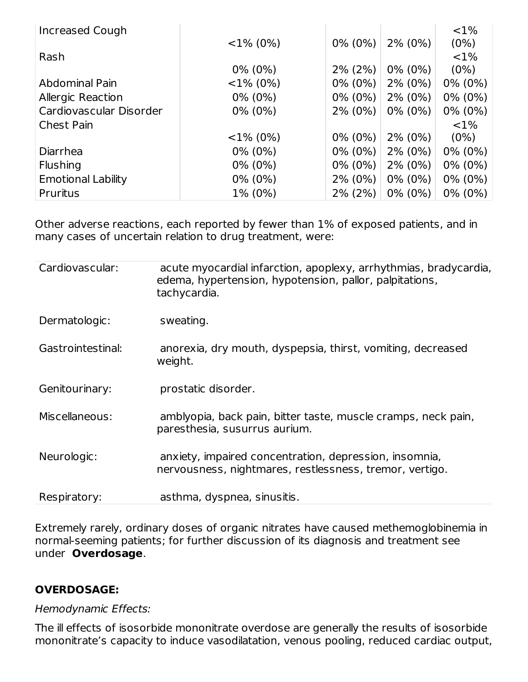| Increased Cough           |             |            |            | ${<}1\%$   |
|---------------------------|-------------|------------|------------|------------|
|                           | $<$ 1% (0%) | $0\%$ (0%) | $2\%$ (0%) | (0%)       |
| Rash                      |             |            |            | $< 1\%$    |
|                           | $0\%$ (0%)  | $2\%$ (2%) | $0\%$ (0%) | $(0\%)$    |
| Abdominal Pain            | $<$ 1% (0%) | $0\%$ (0%) | $2\%$ (0%) | $0\%$ (0%) |
| <b>Allergic Reaction</b>  | $0\%$ (0%)  | $0\%$ (0%) | $2\%$ (0%) | $0\%$ (0%) |
| Cardiovascular Disorder   | $0\%$ (0%)  | $2\%$ (0%) | $0\%$ (0%) | $0\%$ (0%) |
| <b>Chest Pain</b>         |             |            |            | ${<}1\%$   |
|                           | $<$ 1% (0%) | $0\%$ (0%) | $2\%$ (0%) | $(0\%)$    |
| Diarrhea                  | $0\%$ (0%)  | $0\%$ (0%) | $2\%$ (0%) | $0\%$ (0%) |
| <b>Flushing</b>           | $0\%$ (0%)  | $0\%$ (0%) | $2\%$ (0%) | $0\%$ (0%) |
| <b>Emotional Lability</b> | $0\%$ (0%)  | $2\%$ (0%) | $0\%$ (0%) | $0\%$ (0%) |
| Pruritus                  | 1% (0%)     | 2% (2%)    | $0\%$ (0%) | $0\%$ (0%) |

Other adverse reactions, each reported by fewer than 1% of exposed patients, and in many cases of uncertain relation to drug treatment, were:

| Cardiovascular:   | acute myocardial infarction, apoplexy, arrhythmias, bradycardia,<br>edema, hypertension, hypotension, pallor, palpitations,<br>tachycardia. |
|-------------------|---------------------------------------------------------------------------------------------------------------------------------------------|
| Dermatologic:     | sweating.                                                                                                                                   |
| Gastrointestinal: | anorexia, dry mouth, dyspepsia, thirst, vomiting, decreased<br>weight.                                                                      |
| Genitourinary:    | prostatic disorder.                                                                                                                         |
| Miscellaneous:    | amblyopia, back pain, bitter taste, muscle cramps, neck pain,<br>paresthesia, susurrus aurium.                                              |
| Neurologic:       | anxiety, impaired concentration, depression, insomnia,<br>nervousness, nightmares, restlessness, tremor, vertigo.                           |
| Respiratory:      | asthma, dyspnea, sinusitis.                                                                                                                 |

Extremely rarely, ordinary doses of organic nitrates have caused methemoglobinemia in normal-seeming patients; for further discussion of its diagnosis and treatment see under **Overdosage**.

### **OVERDOSAGE:**

#### Hemodynamic Effects:

The ill effects of isosorbide mononitrate overdose are generally the results of isosorbide mononitrate's capacity to induce vasodilatation, venous pooling, reduced cardiac output,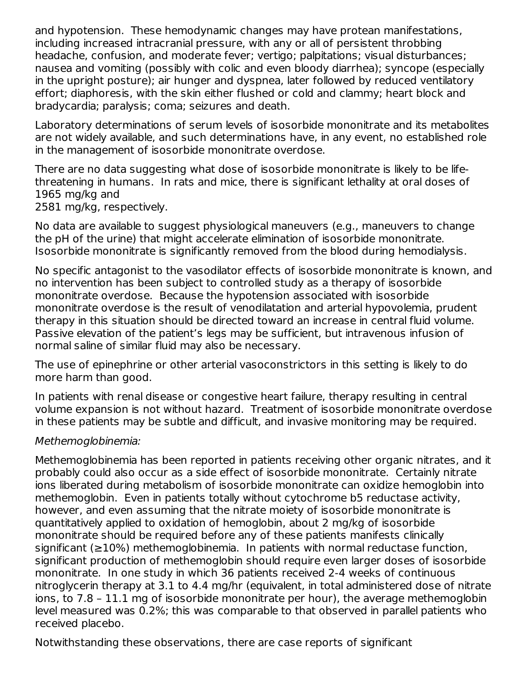and hypotension. These hemodynamic changes may have protean manifestations, including increased intracranial pressure, with any or all of persistent throbbing headache, confusion, and moderate fever; vertigo; palpitations; visual disturbances; nausea and vomiting (possibly with colic and even bloody diarrhea); syncope (especially in the upright posture); air hunger and dyspnea, later followed by reduced ventilatory effort; diaphoresis, with the skin either flushed or cold and clammy; heart block and bradycardia; paralysis; coma; seizures and death.

Laboratory determinations of serum levels of isosorbide mononitrate and its metabolites are not widely available, and such determinations have, in any event, no established role in the management of isosorbide mononitrate overdose.

There are no data suggesting what dose of isosorbide mononitrate is likely to be lifethreatening in humans. In rats and mice, there is significant lethality at oral doses of 1965 mg/kg and

2581 mg/kg, respectively.

No data are available to suggest physiological maneuvers (e.g., maneuvers to change the pH of the urine) that might accelerate elimination of isosorbide mononitrate. Isosorbide mononitrate is significantly removed from the blood during hemodialysis.

No specific antagonist to the vasodilator effects of isosorbide mononitrate is known, and no intervention has been subject to controlled study as a therapy of isosorbide mononitrate overdose. Because the hypotension associated with isosorbide mononitrate overdose is the result of venodilatation and arterial hypovolemia, prudent therapy in this situation should be directed toward an increase in central fluid volume. Passive elevation of the patient's legs may be sufficient, but intravenous infusion of normal saline of similar fluid may also be necessary.

The use of epinephrine or other arterial vasoconstrictors in this setting is likely to do more harm than good.

In patients with renal disease or congestive heart failure, therapy resulting in central volume expansion is not without hazard. Treatment of isosorbide mononitrate overdose in these patients may be subtle and difficult, and invasive monitoring may be required.

#### Methemoglobinemia:

Methemoglobinemia has been reported in patients receiving other organic nitrates, and it probably could also occur as a side effect of isosorbide mononitrate. Certainly nitrate ions liberated during metabolism of isosorbide mononitrate can oxidize hemoglobin into methemoglobin. Even in patients totally without cytochrome b5 reductase activity, however, and even assuming that the nitrate moiety of isosorbide mononitrate is quantitatively applied to oxidation of hemoglobin, about 2 mg/kg of isosorbide mononitrate should be required before any of these patients manifests clinically significant (≥10%) methemoglobinemia. In patients with normal reductase function, significant production of methemoglobin should require even larger doses of isosorbide mononitrate. In one study in which 36 patients received 2-4 weeks of continuous nitroglycerin therapy at 3.1 to 4.4 mg/hr (equivalent, in total administered dose of nitrate ions, to 7.8 – 11.1 mg of isosorbide mononitrate per hour), the average methemoglobin level measured was 0.2%; this was comparable to that observed in parallel patients who received placebo.

Notwithstanding these observations, there are case reports of significant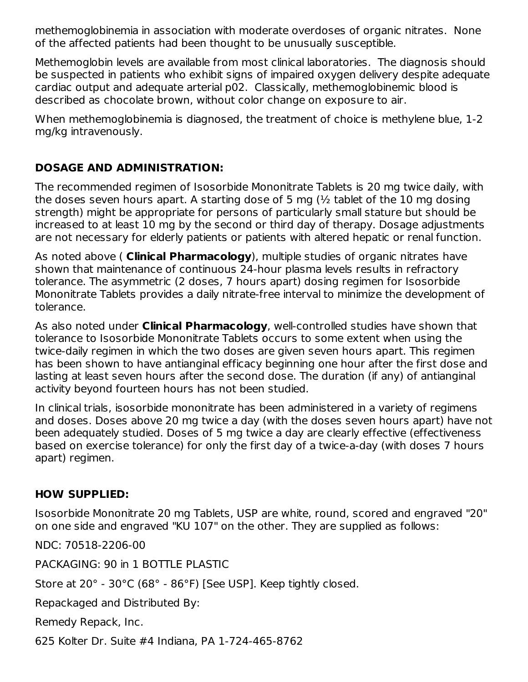methemoglobinemia in association with moderate overdoses of organic nitrates. None of the affected patients had been thought to be unusually susceptible.

Methemoglobin levels are available from most clinical laboratories. The diagnosis should be suspected in patients who exhibit signs of impaired oxygen delivery despite adequate cardiac output and adequate arterial p02. Classically, methemoglobinemic blood is described as chocolate brown, without color change on exposure to air.

When methemoglobinemia is diagnosed, the treatment of choice is methylene blue, 1-2 mg/kg intravenously.

# **DOSAGE AND ADMINISTRATION:**

The recommended regimen of Isosorbide Mononitrate Tablets is 20 mg twice daily, with the doses seven hours apart. A starting dose of 5 mg (½ tablet of the 10 mg dosing strength) might be appropriate for persons of particularly small stature but should be increased to at least 10 mg by the second or third day of therapy. Dosage adjustments are not necessary for elderly patients or patients with altered hepatic or renal function.

As noted above ( **Clinical Pharmacology**), multiple studies of organic nitrates have shown that maintenance of continuous 24-hour plasma levels results in refractory tolerance. The asymmetric (2 doses, 7 hours apart) dosing regimen for Isosorbide Mononitrate Tablets provides a daily nitrate-free interval to minimize the development of tolerance.

As also noted under **Clinical Pharmacology**, well-controlled studies have shown that tolerance to Isosorbide Mononitrate Tablets occurs to some extent when using the twice-daily regimen in which the two doses are given seven hours apart. This regimen has been shown to have antianginal efficacy beginning one hour after the first dose and lasting at least seven hours after the second dose. The duration (if any) of antianginal activity beyond fourteen hours has not been studied.

In clinical trials, isosorbide mononitrate has been administered in a variety of regimens and doses. Doses above 20 mg twice a day (with the doses seven hours apart) have not been adequately studied. Doses of 5 mg twice a day are clearly effective (effectiveness based on exercise tolerance) for only the first day of a twice-a-day (with doses 7 hours apart) regimen.

# **HOW SUPPLIED:**

Isosorbide Mononitrate 20 mg Tablets, USP are white, round, scored and engraved "20" on one side and engraved "KU 107" on the other. They are supplied as follows:

NDC: 70518-2206-00

PACKAGING: 90 in 1 BOTTLE PLASTIC

Store at 20° - 30°C (68° - 86°F) [See USP]. Keep tightly closed.

Repackaged and Distributed By:

Remedy Repack, Inc.

625 Kolter Dr. Suite #4 Indiana, PA 1-724-465-8762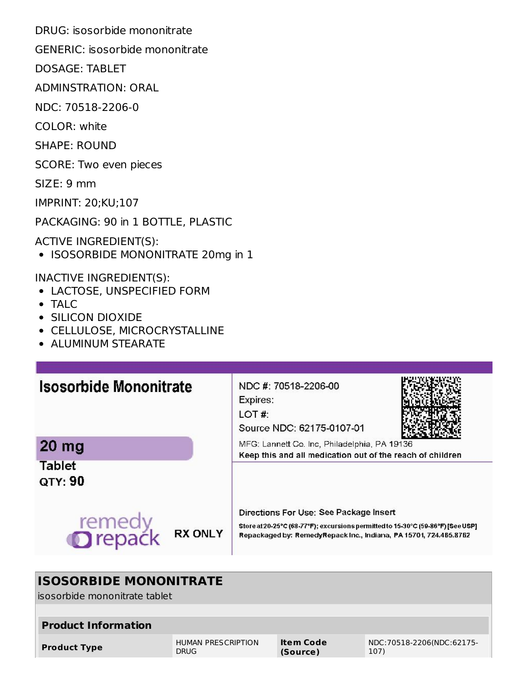DRUG: isosorbide mononitrate

GENERIC: isosorbide mononitrate

DOSAGE: TABLET

ADMINSTRATION: ORAL

NDC: 70518-2206-0

COLOR: white

SHAPE: ROUND

SCORE: Two even pieces

SIZE: 9 mm

IMPRINT: 20;KU;107

PACKAGING: 90 in 1 BOTTLE, PLASTIC

ACTIVE INGREDIENT(S):

• ISOSORBIDE MONONITRATE 20mg in 1

INACTIVE INGREDIENT(S):

- LACTOSE, UNSPECIFIED FORM
- TALC
- SILICON DIOXIDE
- CELLULOSE, MICROCRYSTALLINE
- **ALUMINUM STEARATE**

| <b>Isosorbide Mononitrate</b>              | NDC #: 70518-2206-00<br>Expires:<br>LOT#<br>Source NDC: 62175-0107-01                                                                                                                           |  |  |  |  |
|--------------------------------------------|-------------------------------------------------------------------------------------------------------------------------------------------------------------------------------------------------|--|--|--|--|
| 20 <sub>mg</sub>                           | MFG: Lannett Co. Inc, Philadelphia, PA 19136<br>Keep this and all medication out of the reach of children                                                                                       |  |  |  |  |
| <b>Tablet</b><br><b>QTY: 90</b>            |                                                                                                                                                                                                 |  |  |  |  |
| remedy<br><b>Drepack</b><br><b>RX ONLY</b> | Directions For Use: See Package Insert<br>Store at 20-25°C (68-77°F); excursions permitted to 15-30°C (59-86°F) [See USP].<br>Repackaged by: RemedyRepack Inc., Indiana, PA 15701, 724.465.8762 |  |  |  |  |

# **ISOSORBIDE MONONITRATE**

isosorbide mononitrate tablet

| <b>Product Information</b> |                           |           |                           |
|----------------------------|---------------------------|-----------|---------------------------|
| <b>Product Type</b>        | <b>HUMAN PRESCRIPTION</b> | Item Code | NDC:70518-2206(NDC:62175- |
|                            | <b>DRUG</b>               | (Source)  | 107)                      |